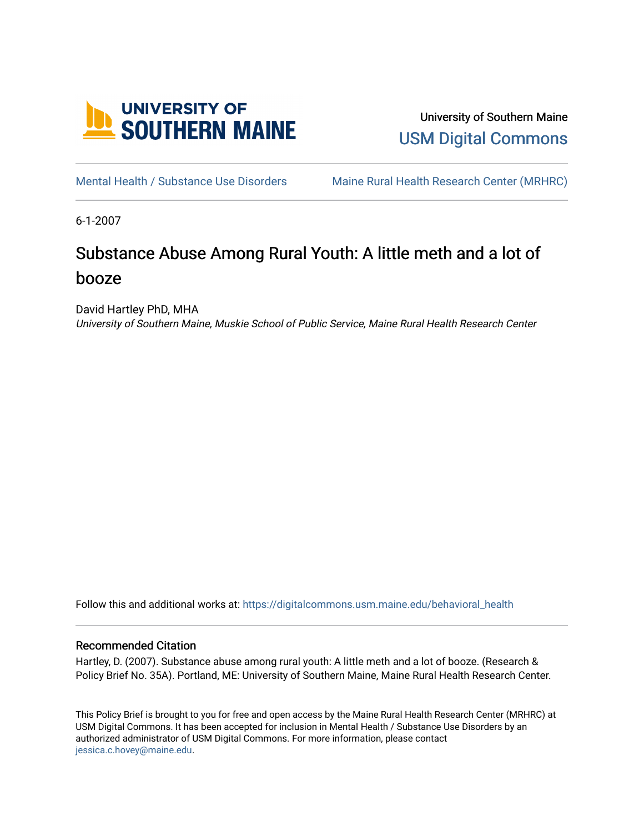

University of Southern Maine [USM Digital Commons](https://digitalcommons.usm.maine.edu/) 

[Mental Health / Substance Use Disorders](https://digitalcommons.usm.maine.edu/behavioral_health) Maine Rural Health Research Center (MRHRC)

6-1-2007

# Substance Abuse Among Rural Youth: A little meth and a lot of booze

David Hartley PhD, MHA

University of Southern Maine, Muskie School of Public Service, Maine Rural Health Research Center

Follow this and additional works at: [https://digitalcommons.usm.maine.edu/behavioral\\_health](https://digitalcommons.usm.maine.edu/behavioral_health?utm_source=digitalcommons.usm.maine.edu%2Fbehavioral_health%2F39&utm_medium=PDF&utm_campaign=PDFCoverPages)

#### Recommended Citation

Hartley, D. (2007). Substance abuse among rural youth: A little meth and a lot of booze. (Research & Policy Brief No. 35A). Portland, ME: University of Southern Maine, Maine Rural Health Research Center.

This Policy Brief is brought to you for free and open access by the Maine Rural Health Research Center (MRHRC) at USM Digital Commons. It has been accepted for inclusion in Mental Health / Substance Use Disorders by an authorized administrator of USM Digital Commons. For more information, please contact [jessica.c.hovey@maine.edu.](mailto:ian.fowler@maine.edu)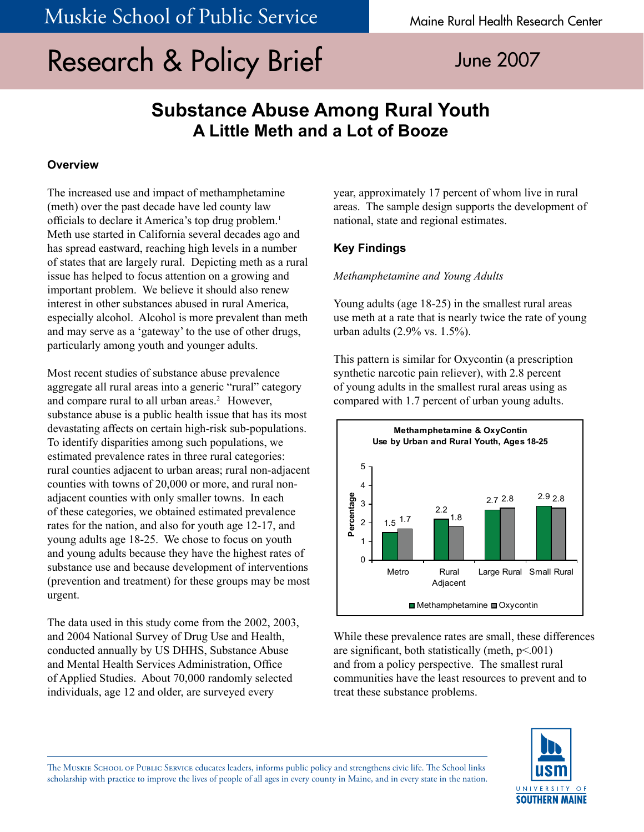# Research & Policy Brief June 2007

## **Substance Abuse Among Rural Youth A Little Meth and a Lot of Booze**

#### **Overview**

The increased use and impact of methamphetamine (meth) over the past decade have led county law officials to declare it America's top drug problem.<sup>1</sup> Meth use started in California several decades ago and has spread eastward, reaching high levels in a number of states that are largely rural. Depicting meth as a rural issue has helped to focus attention on a growing and important problem. We believe it should also renew interest in other substances abused in rural America, especially alcohol. Alcohol is more prevalent than meth and may serve as a 'gateway' to the use of other drugs, particularly among youth and younger adults.

Most recent studies of substance abuse prevalence aggregate all rural areas into a generic "rural" category and compare rural to all urban areas.<sup>2</sup> However, substance abuse is a public health issue that has its most devastating affects on certain high-risk sub-populations. To identify disparities among such populations, we estimated prevalence rates in three rural categories: rural counties adjacent to urban areas; rural non-adjacent counties with towns of 20,000 or more, and rural nonadjacent counties with only smaller towns. In each of these categories, we obtained estimated prevalence rates for the nation, and also for youth age 12-17, and young adults age 18-25. We chose to focus on youth and young adults because they have the highest rates of substance use and because development of interventions (prevention and treatment) for these groups may be most urgent.

The data used in this study come from the 2002, 2003, and 2004 National Survey of Drug Use and Health, conducted annually by US DHHS, Substance Abuse and Mental Health Services Administration, Office of Applied Studies. About 70,000 randomly selected individuals, age 12 and older, are surveyed every

year, approximately 17 percent of whom live in rural areas. The sample design supports the development of national, state and regional estimates.

### **Key Findings**

*Methamphetamine and Young Adults*

Young adults (age 18-25) in the smallest rural areas use meth at a rate that is nearly twice the rate of young urban adults (2.9% vs. 1.5%).

This pattern is similar for Oxycontin (a prescription synthetic narcotic pain reliever), with 2.8 percent of young adults in the smallest rural areas using as compared with 1.7 percent of urban young adults.



While these prevalence rates are small, these differences are significant, both statistically (meth,  $p<.001$ ) and from a policy perspective. The smallest rural communities have the least resources to prevent and to treat these substance problems.



The Muskie School of Public Service educates leaders, informs public policy and strengthens civic life. The School links scholarship with practice to improve the lives of people of all ages in every county in Maine, and in every state in the nation.